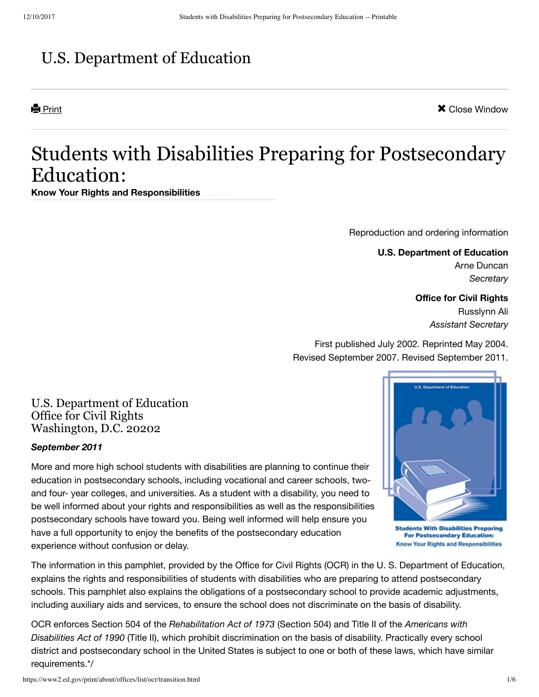# U.S. Department of Education

**Print Close Window X** Close Window

# Students with Disabilities Preparing for Postsecondary Education:

**Know Your Rights and Responsibilities**

[Reproduction](#page-4-0) and ordering information

**U.S. Department of Education** Arne Duncan *Secretary*

## **Office for Civil Rights**

Russlynn Ali *Assistant Secretary*

First published July 2002. Reprinted May 2004. Revised September 2007. Revised September 2011.

U.S. Department of Education Office for Civil Rights Washington, D.C. 20202

#### *September 2011*

More and more high school students with disabilities are planning to continue their education in postsecondary schools, including vocational and career schools, twoand four- year colleges, and universities. As a student with a disability, you need to be well informed about your rights and responsibilities as well as the responsibilities postsecondary schools have toward you. Being well informed will help ensure you have a full opportunity to enjoy the benefits of the postsecondary education experience without confusion or delay.



**Students With Disabilities Preparing For Postsecondary Education: Know Your Rights and Responsibilities** 

The information in this pamphlet, provided by the Office for Civil Rights (OCR) in the U. S. Department of Education, explains the rights and responsibilities of students with disabilities who are preparing to attend postsecondary schools. This pamphlet also explains the obligations of a postsecondary school to provide academic adjustments, including auxiliary aids and services, to ensure the school does not discriminate on the basis of disability.

<span id="page-0-0"></span>OCR enforces Section 504 of the *Rehabilitation Act of 1973* (Section 504) and Title II of the *Americans with Disabilities Act of 1990* (Title II), which prohibit discrimination on the basis of disability. Practically every school district and postsecondary school in the United States is subject to one or both of these laws, which have similar requirements.[\\*/](#page-4-1)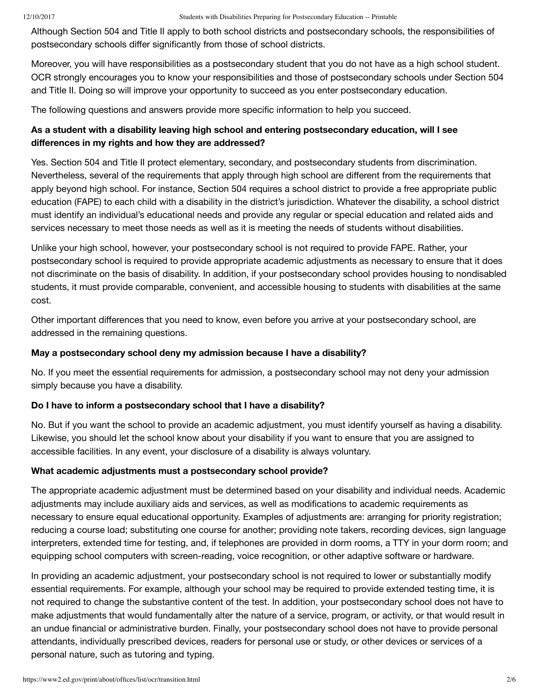Although Section 504 and Title II apply to both school districts and postsecondary schools, the responsibilities of postsecondary schools differ significantly from those of school districts.

Moreover, you will have responsibilities as a postsecondary student that you do not have as a high school student. OCR strongly encourages you to know your responsibilities and those of postsecondary schools under Section 504 and Title II. Doing so will improve your opportunity to succeed as you enter postsecondary education.

The following questions and answers provide more specific information to help you succeed.

### **As a student with a disability leaving high school and entering postsecondary education, will I see differences in my rights and how they are addressed?**

Yes. Section 504 and Title II protect elementary, secondary, and postsecondary students from discrimination. Nevertheless, several of the requirements that apply through high school are different from the requirements that apply beyond high school. For instance, Section 504 requires a school district to provide a free appropriate public education (FAPE) to each child with a disability in the district's jurisdiction. Whatever the disability, a school district must identify an individual's educational needs and provide any regular or special education and related aids and services necessary to meet those needs as well as it is meeting the needs of students without disabilities.

Unlike your high school, however, your postsecondary school is not required to provide FAPE. Rather, your postsecondary school is required to provide appropriate academic adjustments as necessary to ensure that it does not discriminate on the basis of disability. In addition, if your postsecondary school provides housing to nondisabled students, it must provide comparable, convenient, and accessible housing to students with disabilities at the same cost.

Other important differences that you need to know, even before you arrive at your postsecondary school, are addressed in the remaining questions.

#### **May a postsecondary school deny my admission because I have a disability?**

No. If you meet the essential requirements for admission, a postsecondary school may not deny your admission simply because you have a disability.

#### **Do I have to inform a postsecondary school that I have a disability?**

No. But if you want the school to provide an academic adjustment, you must identify yourself as having a disability. Likewise, you should let the school know about your disability if you want to ensure that you are assigned to accessible facilities. In any event, your disclosure of a disability is always voluntary.

#### **What academic adjustments must a postsecondary school provide?**

The appropriate academic adjustment must be determined based on your disability and individual needs. Academic adjustments may include auxiliary aids and services, as well as modifications to academic requirements as necessary to ensure equal educational opportunity. Examples of adjustments are: arranging for priority registration; reducing a course load; substituting one course for another; providing note takers, recording devices, sign language interpreters, extended time for testing, and, if telephones are provided in dorm rooms, a TTY in your dorm room; and equipping school computers with screen-reading, voice recognition, or other adaptive software or hardware.

In providing an academic adjustment, your postsecondary school is not required to lower or substantially modify essential requirements. For example, although your school may be required to provide extended testing time, it is not required to change the substantive content of the test. In addition, your postsecondary school does not have to make adjustments that would fundamentally alter the nature of a service, program, or activity, or that would result in an undue financial or administrative burden. Finally, your postsecondary school does not have to provide personal attendants, individually prescribed devices, readers for personal use or study, or other devices or services of a personal nature, such as tutoring and typing.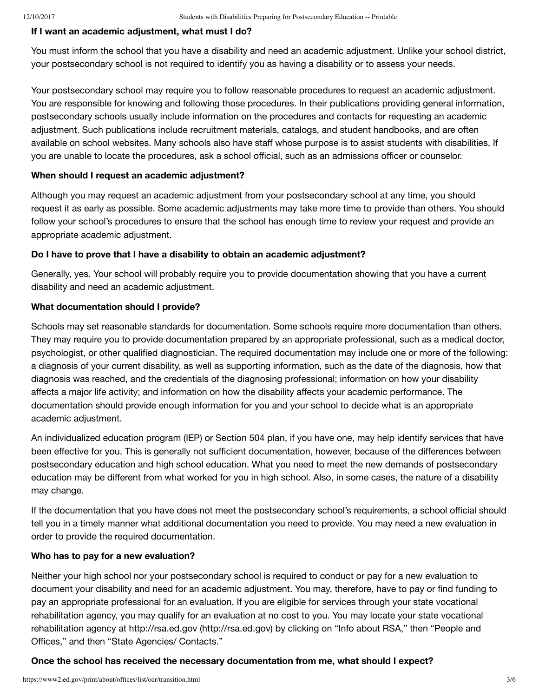#### **If I want an academic adjustment, what must I do?**

You must inform the school that you have a disability and need an academic adjustment. Unlike your school district, your postsecondary school is not required to identify you as having a disability or to assess your needs.

Your postsecondary school may require you to follow reasonable procedures to request an academic adjustment. You are responsible for knowing and following those procedures. In their publications providing general information, postsecondary schools usually include information on the procedures and contacts for requesting an academic adjustment. Such publications include recruitment materials, catalogs, and student handbooks, and are often available on school websites. Many schools also have staff whose purpose is to assist students with disabilities. If you are unable to locate the procedures, ask a school official, such as an admissions officer or counselor.

#### **When should I request an academic adjustment?**

Although you may request an academic adjustment from your postsecondary school at any time, you should request it as early as possible. Some academic adjustments may take more time to provide than others. You should follow your school's procedures to ensure that the school has enough time to review your request and provide an appropriate academic adjustment.

#### **Do I have to prove that I have a disability to obtain an academic adjustment?**

Generally, yes. Your school will probably require you to provide documentation showing that you have a current disability and need an academic adjustment.

#### **What documentation should I provide?**

Schools may set reasonable standards for documentation. Some schools require more documentation than others. They may require you to provide documentation prepared by an appropriate professional, such as a medical doctor, psychologist, or other qualified diagnostician. The required documentation may include one or more of the following: a diagnosis of your current disability, as well as supporting information, such as the date of the diagnosis, how that diagnosis was reached, and the credentials of the diagnosing professional; information on how your disability affects a major life activity; and information on how the disability affects your academic performance. The documentation should provide enough information for you and your school to decide what is an appropriate academic adjustment.

An individualized education program (IEP) or Section 504 plan, if you have one, may help identify services that have been effective for you. This is generally not sufficient documentation, however, because of the differences between postsecondary education and high school education. What you need to meet the new demands of postsecondary education may be different from what worked for you in high school. Also, in some cases, the nature of a disability may change.

If the documentation that you have does not meet the postsecondary school's requirements, a school official should tell you in a timely manner what additional documentation you need to provide. You may need a new evaluation in order to provide the required documentation.

#### **Who has to pay for a new evaluation?**

Neither your high school nor your postsecondary school is required to conduct or pay for a new evaluation to document your disability and need for an academic adjustment. You may, therefore, have to pay or find funding to pay an appropriate professional for an evaluation. If you are eligible for services through your state vocational rehabilitation agency, you may qualify for an evaluation at no cost to you. You may locate your state vocational rehabilitation agency at http://rsa.ed.gov [\(http://rsa.ed.gov\)](http://rsa.ed.gov/) by clicking on "Info about RSA," then "People and Offices," and then "State Agencies/ Contacts."

#### **Once the school has received the necessary documentation from me, what should I expect?**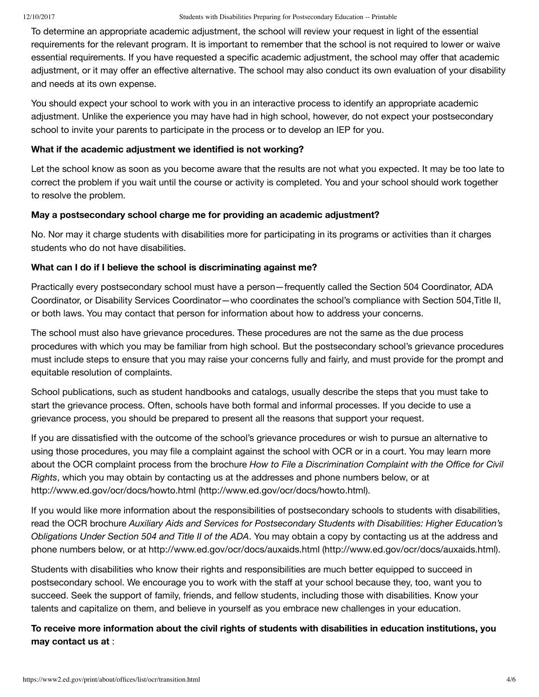To determine an appropriate academic adjustment, the school will review your request in light of the essential requirements for the relevant program. It is important to remember that the school is not required to lower or waive essential requirements. If you have requested a specific academic adjustment, the school may offer that academic adjustment, or it may offer an effective alternative. The school may also conduct its own evaluation of your disability and needs at its own expense.

You should expect your school to work with you in an interactive process to identify an appropriate academic adjustment. Unlike the experience you may have had in high school, however, do not expect your postsecondary school to invite your parents to participate in the process or to develop an IEP for you.

#### **What if the academic adjustment we identified is not working?**

Let the school know as soon as you become aware that the results are not what you expected. It may be too late to correct the problem if you wait until the course or activity is completed. You and your school should work together to resolve the problem.

#### **May a postsecondary school charge me for providing an academic adjustment?**

No. Nor may it charge students with disabilities more for participating in its programs or activities than it charges students who do not have disabilities.

#### **What can I do if I believe the school is discriminating against me?**

Practically every postsecondary school must have a person—frequently called the Section 504 Coordinator, ADA Coordinator, or Disability Services Coordinator—who coordinates the school's compliance with Section 504,Title II, or both laws. You may contact that person for information about how to address your concerns.

The school must also have grievance procedures. These procedures are not the same as the due process procedures with which you may be familiar from high school. But the postsecondary school's grievance procedures must include steps to ensure that you may raise your concerns fully and fairly, and must provide for the prompt and equitable resolution of complaints.

School publications, such as student handbooks and catalogs, usually describe the steps that you must take to start the grievance process. Often, schools have both formal and informal processes. If you decide to use a grievance process, you should be prepared to present all the reasons that support your request.

If you are dissatisfied with the outcome of the school's grievance procedures or wish to pursue an alternative to using those procedures, you may file a complaint against the school with OCR or in a court. You may learn more about the OCR complaint process from the brochure *How to File a Discrimination Complaint with the Office for Civil Rights*, which you may obtain by contacting us at the addresses and phone numbers below, or at http://www.ed.gov/ocr/docs/howto.html [\(http://www.ed.gov/ocr/docs/howto.html\).](http://www.ed.gov/ocr/docs/howto.html)

If you would like more information about the responsibilities of postsecondary schools to students with disabilities, read the OCR brochure *Auxiliary Aids and Services for Postsecondary Students with Disabilities: Higher Education's Obligations Under Section 504 and Title II of the ADA*. You may obtain a copy by contacting us at the address and phone numbers below, or at http://www.ed.gov/ocr/docs/auxaids.html [\(http://www.ed.gov/ocr/docs/auxaids.html\).](http://www.ed.gov/ocr/docs/auxaids.html)

Students with disabilities who know their rights and responsibilities are much better equipped to succeed in postsecondary school. We encourage you to work with the staff at your school because they, too, want you to succeed. Seek the support of family, friends, and fellow students, including those with disabilities. Know your talents and capitalize on them, and believe in yourself as you embrace new challenges in your education.

**To receive more information about the civil rights of students with disabilities in education institutions, you may contact us at** :